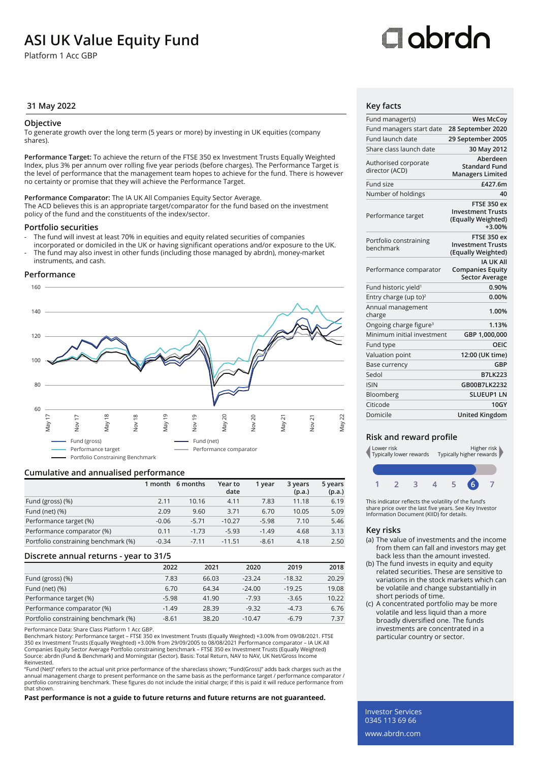## **ASI UK Value Equity Fund**

Platform 1 Acc GBP

# Oobrdo

### **31 May 2022 Key facts**

### **Objective**

To generate growth over the long term (5 years or more) by investing in UK equities (company shares).

**Performance Target:** To achieve the return of the FTSE 350 ex Investment Trusts Equally Weighted Index, plus 3% per annum over rolling five year periods (before charges). The Performance Target is the level of performance that the management team hopes to achieve for the fund. There is however no certainty or promise that they will achieve the Performance Target.

**Performance Comparator:** The IA UK All Companies Equity Sector Average. The ACD believes this is an appropriate target/comparator for the fund based on the investment policy of the fund and the constituents of the index/sector.

### **Portfolio securities**

- The fund will invest at least 70% in equities and equity related securities of companies incorporated or domiciled in the UK or having significant operations and/or exposure to the UK.
- The fund may also invest in other funds (including those managed by abrdn), money-market instruments, and cash.

### **Performance**



### **Cumulative and annualised performance**

|                                      |         | 1 month 6 months | Year to<br>date | 1 year  | 3 years<br>(p.a.) | 5 years<br>(p.a.) |
|--------------------------------------|---------|------------------|-----------------|---------|-------------------|-------------------|
| Fund (gross) (%)                     | 2.11    | 10.16            | 4.11            | 7.83    | 11.18             | 6.19              |
| Fund (net) $(\%)$                    | 2.09    | 9.60             | 3.71            | 6.70    | 10.05             | 5.09              |
| Performance target (%)               | $-0.06$ | $-5.71$          | $-10.27$        | $-5.98$ | 7.10              | 5.46              |
| Performance comparator (%)           | 0.11    | $-1.73$          | $-5.93$         | $-1.49$ | 4.68              | 3.13              |
| Portfolio constraining benchmark (%) | $-0.34$ | $-7.11$          | $-11.51$        | $-8.61$ | 4.18              | 2.50              |

### **Discrete annual returns - year to 31/5**

|                                      | 2022    | 2021  | 2020     | 2019     | 2018  |
|--------------------------------------|---------|-------|----------|----------|-------|
| Fund (gross) (%)                     | 7.83    | 66.03 | $-23.24$ | $-18.32$ | 20.29 |
| Fund (net) $(\%)$                    | 6.70    | 64.34 | $-24.00$ | $-19.25$ | 19.08 |
| Performance target (%)               | $-5.98$ | 41.90 | $-7.93$  | $-3.65$  | 10.22 |
| Performance comparator (%)           | $-1.49$ | 28.39 | $-9.32$  | $-4.73$  | 6.76  |
| Portfolio constraining benchmark (%) | $-8.61$ | 38.20 | $-10.47$ | $-6.79$  | 7.37  |

Performance Data: Share Class Platform 1 Acc GBP.

Benchmark history: Performance target – FTSE 350 ex Investment Trusts (Equally Weighted) +3.00% from 09/08/2021. FTSE<br>350 ex Investment Trusts (Equally Weighted) +3.00% from 29/09/2005 to 08/08/2021 Performance comparator Companies Equity Sector Average Portfolio constraining benchmark – FTSE 350 ex Investment Trusts (Equally Weighted) Source: abrdn (Fund & Benchmark) and Morningstar (Sector). Basis: Total Return, NAV to NAV, UK Net/Gross Income Reinvested.

"Fund (Net)" refers to the actual unit price performance of the shareclass shown; "Fund(Gross)" adds back charges such as the annual management charge to present performance on the same basis as the performance target / performance comparator / portfolio constraining benchmark. These figures do not include the initial charge; if this is paid it will reduce performance from that shown.

**Past performance is not a guide to future returns and future returns are not guaranteed.**

| Fund manager(s)                        | <b>Wes McCoy</b>                                                          |
|----------------------------------------|---------------------------------------------------------------------------|
| Fund managers start date               | 28 September 2020                                                         |
| Fund launch date                       | 29 September 2005                                                         |
| Share class launch date                | 30 May 2012                                                               |
| Authorised corporate<br>director (ACD) | Aberdeen<br><b>Standard Fund</b><br><b>Managers Limited</b>               |
| Fund size                              | £427.6m                                                                   |
| Number of holdings                     | 40                                                                        |
| Performance target                     | FTSE 350 ex<br><b>Investment Trusts</b><br>(Equally Weighted)<br>$+3.00%$ |
| Portfolio constraining<br>benchmark    | <b>FTSE 350 ex</b><br><b>Investment Trusts</b><br>(Equally Weighted)      |
| Performance comparator                 | <b>IA UK All</b><br><b>Companies Equity</b><br><b>Sector Average</b>      |
| Fund historic yield <sup>1</sup>       | 0.90%                                                                     |
| Entry charge (up to) <sup>2</sup>      | 0.00%                                                                     |
| Annual management<br>charge            | 1.00%                                                                     |
| Ongoing charge figure <sup>3</sup>     | 1.13%                                                                     |
| Minimum initial investment             | GBP 1,000,000                                                             |
| Fund type                              | OEIC                                                                      |
| Valuation point                        | 12:00 (UK time)                                                           |
| Base currency                          | GBP                                                                       |
| Sedol                                  | <b>B7LK223</b>                                                            |
| <b>ISIN</b>                            | GB00B7LK2232                                                              |
| Bloomberg                              | <b>SLUEUP1 LN</b>                                                         |
| Citicode                               | 10GY                                                                      |
| Domicile                               | <b>United Kingdom</b>                                                     |

### **Risk and reward profile**



This indicator reflects the volatility of the fund's share price over the last five years. See Key Investor Information Document (KIID) for details.

### **Key risks**

- (a) The value of investments and the income from them can fall and investors may get back less than the amount invested.
- (b) The fund invests in equity and equity related securities. These are sensitive to variations in the stock markets which can be volatile and change substantially in short periods of time.
- (c) A concentrated portfolio may be more volatile and less liquid than a more broadly diversified one. The funds investments are concentrated in a particular country or sector.

Investor Services 0345 113 69 66 www.abrdn.com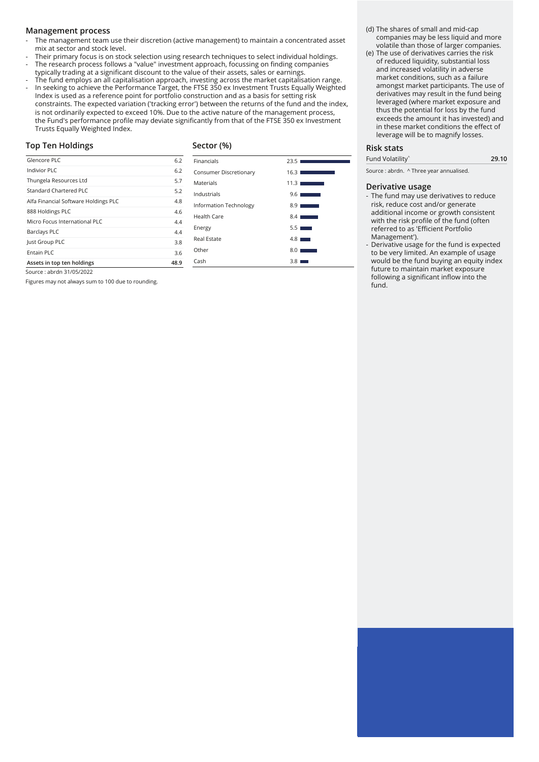### **Management process**

- The management team use their discretion (active management) to maintain a concentrated asset mix at sector and stock level.
- Their primary focus is on stock selection using research techniques to select individual holdings. - The research process follows a "value" investment approach, focussing on finding companies
- typically trading at a significant discount to the value of their assets, sales or earnings.
- The fund employs an all capitalisation approach, investing across the market capitalisation range. In seeking to achieve the Performance Target, the FTSE 350 ex Investment Trusts Equally Weighted Index is used as a reference point for portfolio construction and as a basis for setting risk constraints. The expected variation ('tracking error') between the returns of the fund and the index, is not ordinarily expected to exceed 10%. Due to the active nature of the management process, the Fund's performance profile may deviate significantly from that of the FTSE 350 ex Investment Trusts Equally Weighted Index.

### **Top Ten Holdings**

### **Sector (%)**

| Glencore PLC                         | 6.2  |
|--------------------------------------|------|
| Indivior PLC                         | 6.2  |
| Thungela Resources Ltd               | 5.7  |
| Standard Chartered PLC               | 5.2  |
| Alfa Financial Software Holdings PLC | 4.8  |
| 888 Holdings PLC                     | 4.6  |
| Micro Focus International PLC        | 4.4  |
| <b>Barclays PLC</b>                  | 4.4  |
| Just Group PLC                       | 3.8  |
| Entain PLC                           | 3.6  |
| Assets in top ten holdings           | 48.9 |

| Financials             | 23.5             |
|------------------------|------------------|
| Consumer Discretionary | 16.31            |
| Materials              | 11.31            |
| Industrials            | 9.61             |
| Information Technology | 8.9              |
| Health Care            | 8.4 <sub>1</sub> |
| Energy                 | 5.5              |
| Real Estate            | 48               |
| Other                  | 8.0              |

Cash 3.8 ■

- (d) The shares of small and mid-cap companies may be less liquid and more volatile than those of larger companies.
- (e) The use of derivatives carries the risk of reduced liquidity, substantial loss and increased volatility in adverse market conditions, such as a failure amongst market participants. The use of derivatives may result in the fund being leveraged (where market exposure and thus the potential for loss by the fund exceeds the amount it has invested) and in these market conditions the effect of leverage will be to magnify losses.

### **Risk stats**

Fund Volatility^ **29.10**

Source : abrdn. ^ Three year annualised.

### **Derivative usage**

- The fund may use derivatives to reduce risk, reduce cost and/or generate additional income or growth consistent with the risk profile of the fund (often referred to as 'Efficient Portfolio Management').
- Derivative usage for the fund is expected to be very limited. An example of usage would be the fund buying an equity index future to maintain market exposure following a significant inflow into the fund.

Source : abrdn 31/05/2022

Figures may not always sum to 100 due to rounding.